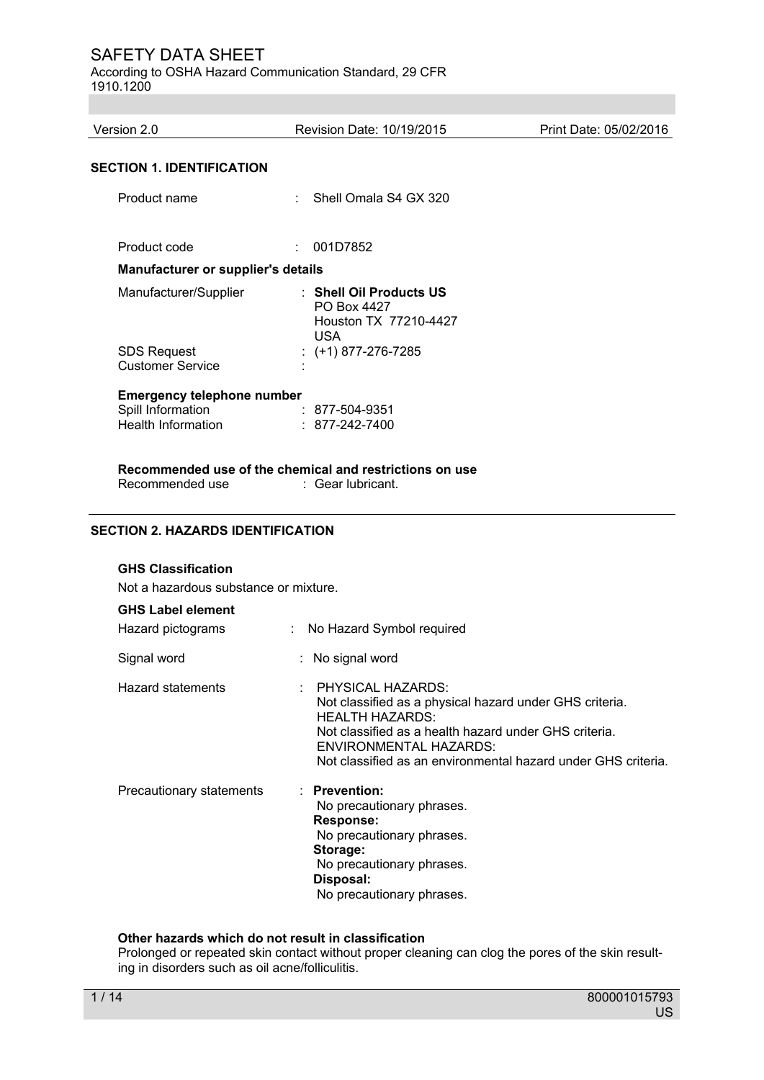According to OSHA Hazard Communication Standard, 29 CFR 1910.1200

| Version 2.0                                   | Revision Date: 10/19/2015                                                     | Print Date: 05/02/2016 |
|-----------------------------------------------|-------------------------------------------------------------------------------|------------------------|
| <b>SECTION 1. IDENTIFICATION</b>              |                                                                               |                        |
| Product name                                  | : Shell Omala S4 GX 320                                                       |                        |
| Product code                                  | 001D7852<br>÷.                                                                |                        |
| <b>Manufacturer or supplier's details</b>     |                                                                               |                        |
| Manufacturer/Supplier                         | : Shell Oil Products US<br>PO Box 4427<br>Houston TX 77210-4427<br><b>USA</b> |                        |
| <b>SDS Request</b><br><b>Customer Service</b> | : $(+1)$ 877-276-7285                                                         |                        |
| <b>Emergency telephone number</b>             |                                                                               |                        |
| Spill Information                             | : 877-504-9351                                                                |                        |
| <b>Health Information</b>                     | $: 877 - 242 - 7400$                                                          |                        |
|                                               | Recommended use of the chemical and restrictions on use                       |                        |
|                                               |                                                                               |                        |

Recommended use : Gear lubricant.

### **SECTION 2. HAZARDS IDENTIFICATION**

#### **GHS Classification**

Not a hazardous substance or mixture.

#### **GHS Label element**

| Hazard pictograms        | : No Hazard Symbol required                                                                                                                                                                                                                                  |
|--------------------------|--------------------------------------------------------------------------------------------------------------------------------------------------------------------------------------------------------------------------------------------------------------|
| Signal word              | : No signal word                                                                                                                                                                                                                                             |
| <b>Hazard statements</b> | : PHYSICAL HAZARDS:<br>Not classified as a physical hazard under GHS criteria.<br><b>HEALTH HAZARDS:</b><br>Not classified as a health hazard under GHS criteria.<br>ENVIRONMENTAL HAZARDS:<br>Not classified as an environmental hazard under GHS criteria. |
| Precautionary statements | $\therefore$ Prevention:<br>No precautionary phrases.<br><b>Response:</b><br>No precautionary phrases.<br>Storage:<br>No precautionary phrases.<br>Disposal:<br>No precautionary phrases.                                                                    |

### **Other hazards which do not result in classification**

Prolonged or repeated skin contact without proper cleaning can clog the pores of the skin resulting in disorders such as oil acne/folliculitis.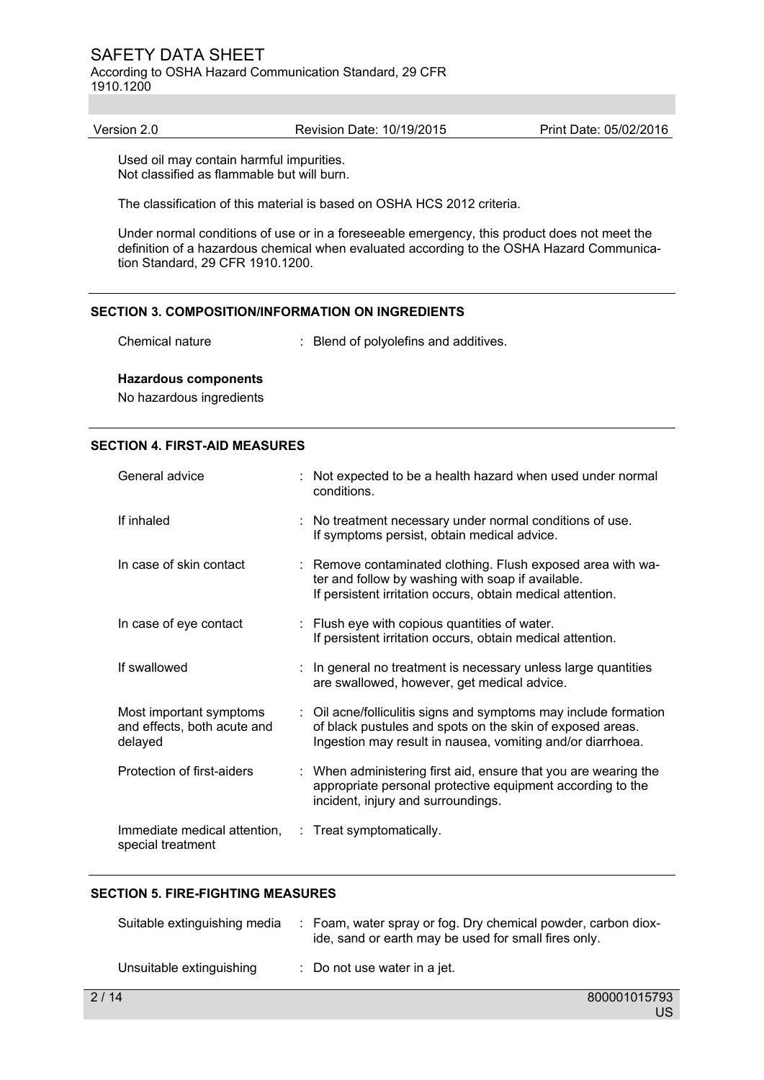According to OSHA Hazard Communication Standard, 29 CFR 1910.1200

Version 2.0 Revision Date: 10/19/2015 Print Date: 05/02/2016

Used oil may contain harmful impurities. Not classified as flammable but will burn.

The classification of this material is based on OSHA HCS 2012 criteria.

Under normal conditions of use or in a foreseeable emergency, this product does not meet the definition of a hazardous chemical when evaluated according to the OSHA Hazard Communication Standard, 29 CFR 1910.1200.

#### **SECTION 3. COMPOSITION/INFORMATION ON INGREDIENTS**

Chemical nature : Blend of polyolefins and additives.

**Hazardous components**  No hazardous ingredients

#### **SECTION 4. FIRST-AID MEASURES**

| General advice                                                    | : Not expected to be a health hazard when used under normal<br>conditions.                                                                                                                  |
|-------------------------------------------------------------------|---------------------------------------------------------------------------------------------------------------------------------------------------------------------------------------------|
| If inhaled                                                        | : No treatment necessary under normal conditions of use.<br>If symptoms persist, obtain medical advice.                                                                                     |
| In case of skin contact                                           | : Remove contaminated clothing. Flush exposed area with wa-<br>ter and follow by washing with soap if available.<br>If persistent irritation occurs, obtain medical attention.              |
| In case of eye contact                                            | : Flush eye with copious quantities of water.<br>If persistent irritation occurs, obtain medical attention.                                                                                 |
| If swallowed                                                      | : In general no treatment is necessary unless large quantities<br>are swallowed, however, get medical advice.                                                                               |
| Most important symptoms<br>and effects, both acute and<br>delayed | : Oil acne/folliculitis signs and symptoms may include formation<br>of black pustules and spots on the skin of exposed areas.<br>Ingestion may result in nausea, vomiting and/or diarrhoea. |
| Protection of first-aiders                                        | : When administering first aid, ensure that you are wearing the<br>appropriate personal protective equipment according to the<br>incident, injury and surroundings.                         |
| Immediate medical attention,<br>special treatment                 | : Treat symptomatically.                                                                                                                                                                    |

#### **SECTION 5. FIRE-FIGHTING MEASURES**

| Suitable extinguishing media | : Foam, water spray or fog. Dry chemical powder, carbon diox-<br>ide, sand or earth may be used for small fires only. |
|------------------------------|-----------------------------------------------------------------------------------------------------------------------|
| Unsuitable extinguishing     | $\therefore$ Do not use water in a jet.                                                                               |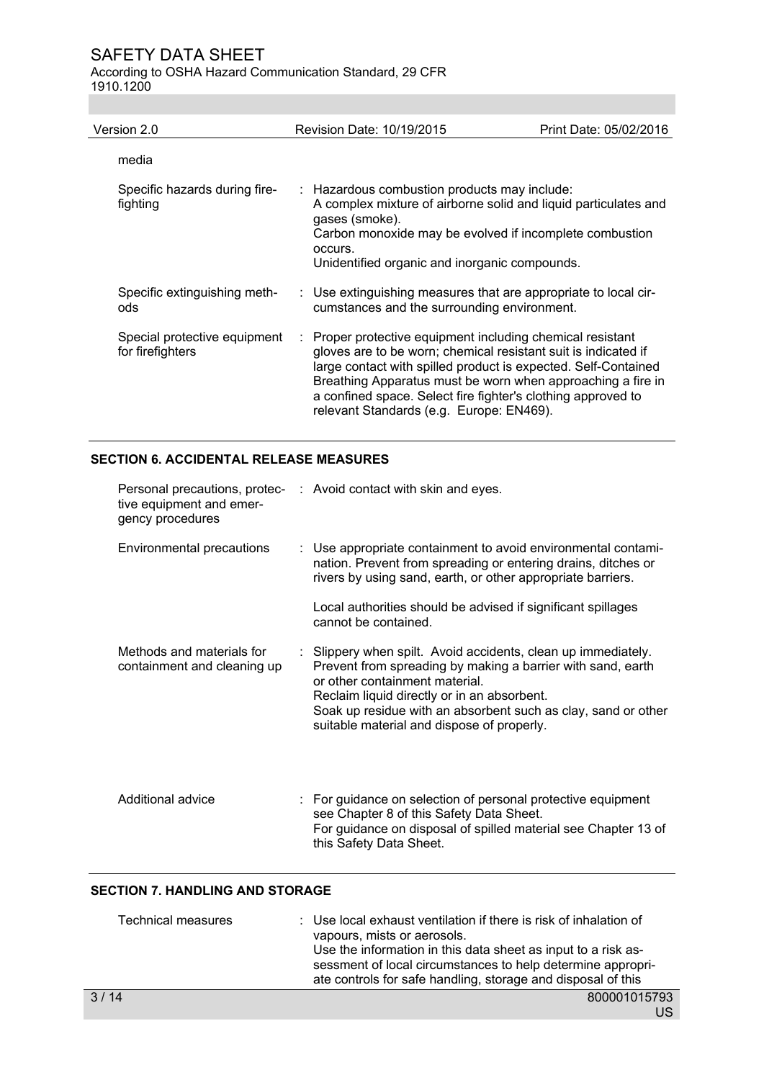According to OSHA Hazard Communication Standard, 29 CFR 1910.1200

| Version 2.0                                      | Revision Date: 10/19/2015                                                                                                                                                                                                                                                                                                                                               | Print Date: 05/02/2016 |
|--------------------------------------------------|-------------------------------------------------------------------------------------------------------------------------------------------------------------------------------------------------------------------------------------------------------------------------------------------------------------------------------------------------------------------------|------------------------|
| media                                            |                                                                                                                                                                                                                                                                                                                                                                         |                        |
| Specific hazards during fire-<br>fighting        | : Hazardous combustion products may include:<br>A complex mixture of airborne solid and liquid particulates and<br>gases (smoke).<br>Carbon monoxide may be evolved if incomplete combustion<br>occurs.<br>Unidentified organic and inorganic compounds.                                                                                                                |                        |
| Specific extinguishing meth-<br>ods              | : Use extinguishing measures that are appropriate to local cir-<br>cumstances and the surrounding environment.                                                                                                                                                                                                                                                          |                        |
| Special protective equipment<br>for firefighters | Proper protective equipment including chemical resistant<br>gloves are to be worn; chemical resistant suit is indicated if<br>large contact with spilled product is expected. Self-Contained<br>Breathing Apparatus must be worn when approaching a fire in<br>a confined space. Select fire fighter's clothing approved to<br>relevant Standards (e.g. Europe: EN469). |                        |

## **SECTION 6. ACCIDENTAL RELEASE MEASURES**

| tive equipment and emer-<br>gency procedures             | Personal precautions, protec- : Avoid contact with skin and eyes.                                                                                                                                                                                                                                                          |
|----------------------------------------------------------|----------------------------------------------------------------------------------------------------------------------------------------------------------------------------------------------------------------------------------------------------------------------------------------------------------------------------|
| Environmental precautions                                | : Use appropriate containment to avoid environmental contami-<br>nation. Prevent from spreading or entering drains, ditches or<br>rivers by using sand, earth, or other appropriate barriers.                                                                                                                              |
|                                                          | Local authorities should be advised if significant spillages<br>cannot be contained.                                                                                                                                                                                                                                       |
| Methods and materials for<br>containment and cleaning up | Slippery when spilt. Avoid accidents, clean up immediately.<br>Prevent from spreading by making a barrier with sand, earth<br>or other containment material.<br>Reclaim liquid directly or in an absorbent.<br>Soak up residue with an absorbent such as clay, sand or other<br>suitable material and dispose of properly. |
| Additional advice                                        | : For guidance on selection of personal protective equipment<br>see Chapter 8 of this Safety Data Sheet.<br>For guidance on disposal of spilled material see Chapter 13 of<br>this Safety Data Sheet.                                                                                                                      |

#### **SECTION 7. HANDLING AND STORAGE**

| <b>Technical measures</b> | : Use local exhaust ventilation if there is risk of inhalation of<br>vapours, mists or aerosols.<br>Use the information in this data sheet as input to a risk as-<br>sessment of local circumstances to help determine appropri-<br>ate controls for safe handling, storage and disposal of this |
|---------------------------|--------------------------------------------------------------------------------------------------------------------------------------------------------------------------------------------------------------------------------------------------------------------------------------------------|
| 3/14                      | 800001015793                                                                                                                                                                                                                                                                                     |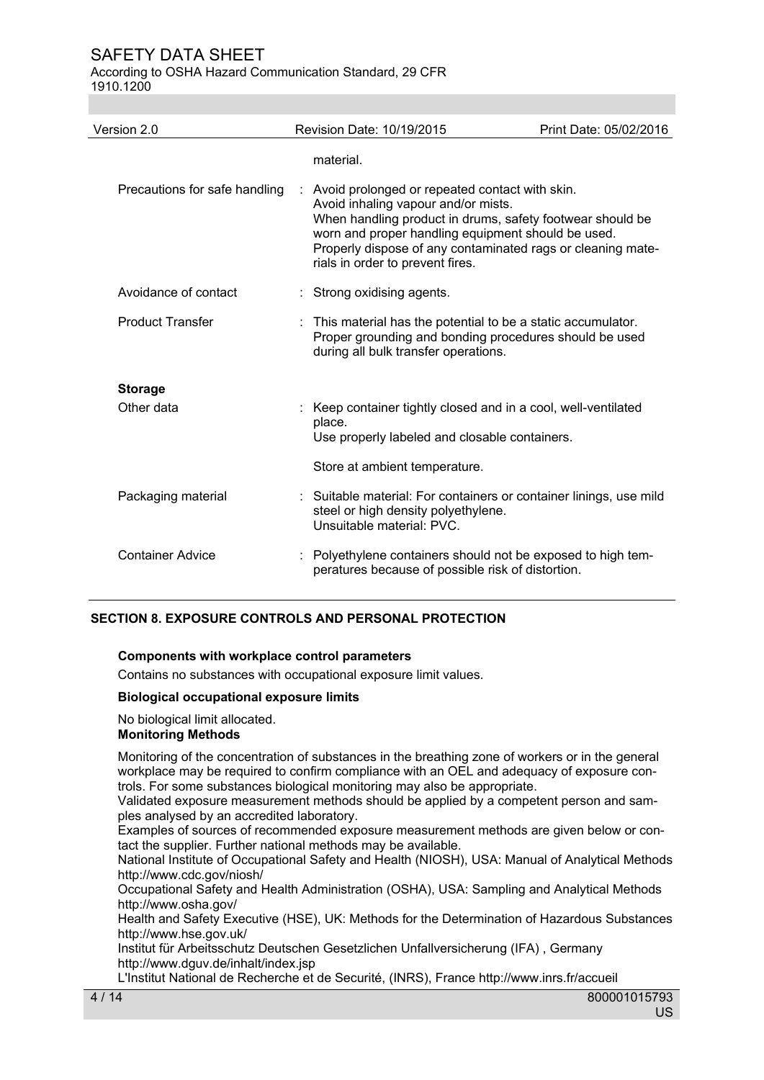According to OSHA Hazard Communication Standard, 29 CFR 1910.1200

| Version 2.0                   | Revision Date: 10/19/2015                                                                                                                                                                                          | Print Date: 05/02/2016 |
|-------------------------------|--------------------------------------------------------------------------------------------------------------------------------------------------------------------------------------------------------------------|------------------------|
| Precautions for safe handling | material.<br>Avoid prolonged or repeated contact with skin.<br>Avoid inhaling vapour and/or mists.                                                                                                                 |                        |
|                               | When handling product in drums, safety footwear should be<br>worn and proper handling equipment should be used.<br>Properly dispose of any contaminated rags or cleaning mate-<br>rials in order to prevent fires. |                        |
| Avoidance of contact          | Strong oxidising agents.                                                                                                                                                                                           |                        |
| <b>Product Transfer</b>       | : This material has the potential to be a static accumulator.<br>Proper grounding and bonding procedures should be used<br>during all bulk transfer operations.                                                    |                        |
| <b>Storage</b>                |                                                                                                                                                                                                                    |                        |
| Other data                    | : Keep container tightly closed and in a cool, well-ventilated<br>place.<br>Use properly labeled and closable containers.                                                                                          |                        |
|                               | Store at ambient temperature.                                                                                                                                                                                      |                        |
| Packaging material            | : Suitable material: For containers or container linings, use mild<br>steel or high density polyethylene.<br>Unsuitable material: PVC.                                                                             |                        |
| <b>Container Advice</b>       | : Polyethylene containers should not be exposed to high tem-<br>peratures because of possible risk of distortion.                                                                                                  |                        |

#### **SECTION 8. EXPOSURE CONTROLS AND PERSONAL PROTECTION**

#### **Components with workplace control parameters**

Contains no substances with occupational exposure limit values.

#### **Biological occupational exposure limits**

## No biological limit allocated.

## **Monitoring Methods**

Monitoring of the concentration of substances in the breathing zone of workers or in the general workplace may be required to confirm compliance with an OEL and adequacy of exposure controls. For some substances biological monitoring may also be appropriate.

Validated exposure measurement methods should be applied by a competent person and samples analysed by an accredited laboratory.

Examples of sources of recommended exposure measurement methods are given below or contact the supplier. Further national methods may be available.

National Institute of Occupational Safety and Health (NIOSH), USA: Manual of Analytical Methods http://www.cdc.gov/niosh/

Occupational Safety and Health Administration (OSHA), USA: Sampling and Analytical Methods http://www.osha.gov/

Health and Safety Executive (HSE), UK: Methods for the Determination of Hazardous Substances http://www.hse.gov.uk/

Institut für Arbeitsschutz Deutschen Gesetzlichen Unfallversicherung (IFA) , Germany http://www.dguv.de/inhalt/index.jsp

L'Institut National de Recherche et de Securité, (INRS), France http://www.inrs.fr/accueil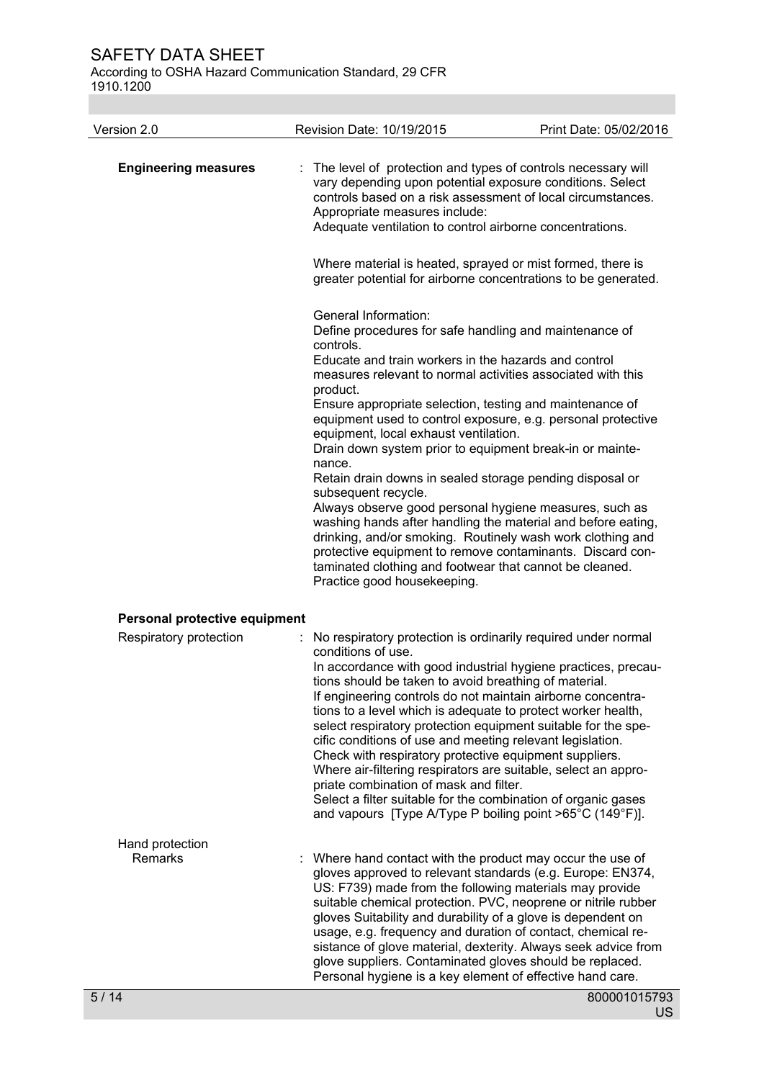According to OSHA Hazard Communication Standard, 29 CFR 1910.1200

| Version 2.0                       | Revision Date: 10/19/2015                                                                                                                                                                                                                                                                                                                                                                                                                                                                                                                                                                                                                                                                                                                                                                                                                                                                                   | Print Date: 05/02/2016 |
|-----------------------------------|-------------------------------------------------------------------------------------------------------------------------------------------------------------------------------------------------------------------------------------------------------------------------------------------------------------------------------------------------------------------------------------------------------------------------------------------------------------------------------------------------------------------------------------------------------------------------------------------------------------------------------------------------------------------------------------------------------------------------------------------------------------------------------------------------------------------------------------------------------------------------------------------------------------|------------------------|
| <b>Engineering measures</b>       | The level of protection and types of controls necessary will<br>vary depending upon potential exposure conditions. Select<br>controls based on a risk assessment of local circumstances.<br>Appropriate measures include:<br>Adequate ventilation to control airborne concentrations.                                                                                                                                                                                                                                                                                                                                                                                                                                                                                                                                                                                                                       |                        |
|                                   | Where material is heated, sprayed or mist formed, there is<br>greater potential for airborne concentrations to be generated.                                                                                                                                                                                                                                                                                                                                                                                                                                                                                                                                                                                                                                                                                                                                                                                |                        |
|                                   | General Information:<br>Define procedures for safe handling and maintenance of<br>controls.<br>Educate and train workers in the hazards and control<br>measures relevant to normal activities associated with this<br>product.<br>Ensure appropriate selection, testing and maintenance of<br>equipment used to control exposure, e.g. personal protective<br>equipment, local exhaust ventilation.<br>Drain down system prior to equipment break-in or mainte-<br>nance.<br>Retain drain downs in sealed storage pending disposal or<br>subsequent recycle.<br>Always observe good personal hygiene measures, such as<br>washing hands after handling the material and before eating,<br>drinking, and/or smoking. Routinely wash work clothing and<br>protective equipment to remove contaminants. Discard con-<br>taminated clothing and footwear that cannot be cleaned.<br>Practice good housekeeping. |                        |
| Personal protective equipment     |                                                                                                                                                                                                                                                                                                                                                                                                                                                                                                                                                                                                                                                                                                                                                                                                                                                                                                             |                        |
| Respiratory protection            | No respiratory protection is ordinarily required under normal<br>conditions of use.<br>In accordance with good industrial hygiene practices, precau-<br>tions should be taken to avoid breathing of material.<br>If engineering controls do not maintain airborne concentra-<br>tions to a level which is adequate to protect worker health,<br>select respiratory protection equipment suitable for the spe-<br>cific conditions of use and meeting relevant legislation.<br>Check with respiratory protective equipment suppliers.<br>Where air-filtering respirators are suitable, select an appro-<br>priate combination of mask and filter.<br>Select a filter suitable for the combination of organic gases<br>and vapours [Type A/Type P boiling point >65°C (149°F)].                                                                                                                               |                        |
| Hand protection<br><b>Remarks</b> | Where hand contact with the product may occur the use of<br>gloves approved to relevant standards (e.g. Europe: EN374,<br>US: F739) made from the following materials may provide<br>suitable chemical protection. PVC, neoprene or nitrile rubber<br>gloves Suitability and durability of a glove is dependent on<br>usage, e.g. frequency and duration of contact, chemical re-<br>sistance of glove material, dexterity. Always seek advice from<br>glove suppliers. Contaminated gloves should be replaced.<br>Personal hygiene is a key element of effective hand care.                                                                                                                                                                                                                                                                                                                                |                        |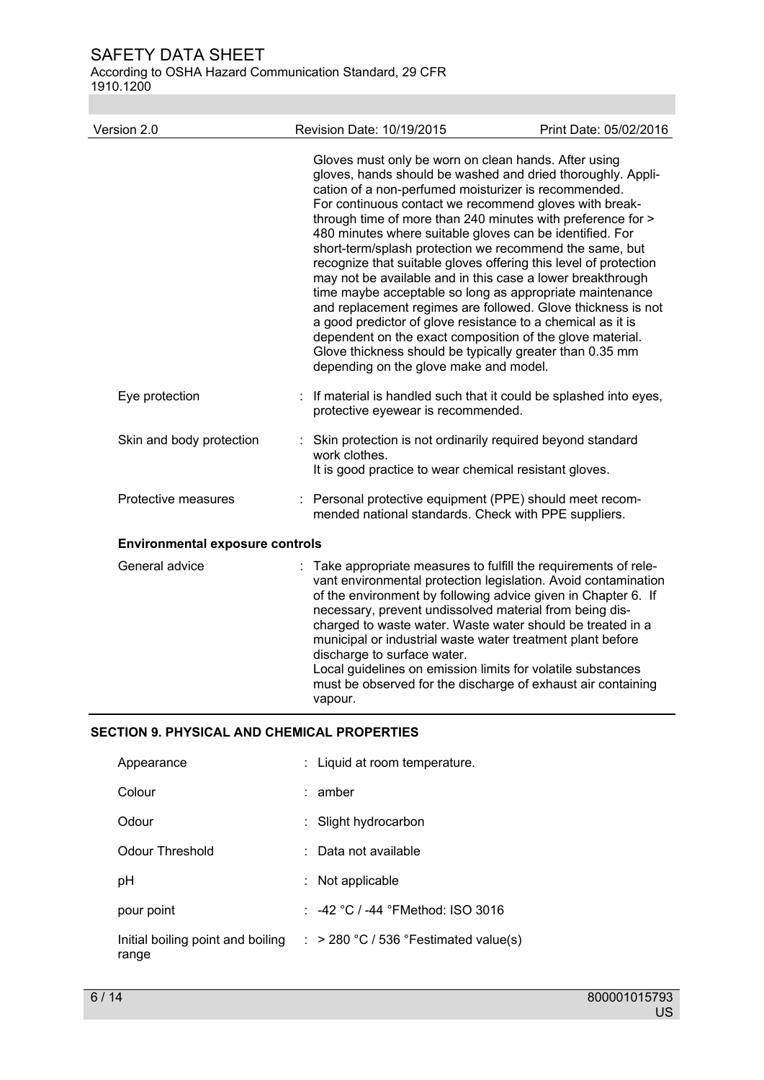According to OSHA Hazard Communication Standard, 29 CFR 1910.1200

| Version 2.0                            | Revision Date: 10/19/2015                                                                                                                                                                                                                                                                                                                                                                                                                                            | Print Date: 05/02/2016                                                                                                                                                                                                                                                                                                                                                                                                                              |
|----------------------------------------|----------------------------------------------------------------------------------------------------------------------------------------------------------------------------------------------------------------------------------------------------------------------------------------------------------------------------------------------------------------------------------------------------------------------------------------------------------------------|-----------------------------------------------------------------------------------------------------------------------------------------------------------------------------------------------------------------------------------------------------------------------------------------------------------------------------------------------------------------------------------------------------------------------------------------------------|
|                                        | Gloves must only be worn on clean hands. After using<br>cation of a non-perfumed moisturizer is recommended.<br>For continuous contact we recommend gloves with break-<br>480 minutes where suitable gloves can be identified. For<br>a good predictor of glove resistance to a chemical as it is<br>dependent on the exact composition of the glove material.<br>Glove thickness should be typically greater than 0.35 mm<br>depending on the glove make and model. | gloves, hands should be washed and dried thoroughly. Appli-<br>through time of more than 240 minutes with preference for ><br>short-term/splash protection we recommend the same, but<br>recognize that suitable gloves offering this level of protection<br>may not be available and in this case a lower breakthrough<br>time maybe acceptable so long as appropriate maintenance<br>and replacement regimes are followed. Glove thickness is not |
| Eye protection                         | protective eyewear is recommended.                                                                                                                                                                                                                                                                                                                                                                                                                                   | If material is handled such that it could be splashed into eyes,                                                                                                                                                                                                                                                                                                                                                                                    |
| Skin and body protection               | Skin protection is not ordinarily required beyond standard<br>work clothes.<br>It is good practice to wear chemical resistant gloves.                                                                                                                                                                                                                                                                                                                                |                                                                                                                                                                                                                                                                                                                                                                                                                                                     |
| Protective measures                    | : Personal protective equipment (PPE) should meet recom-<br>mended national standards. Check with PPE suppliers.                                                                                                                                                                                                                                                                                                                                                     |                                                                                                                                                                                                                                                                                                                                                                                                                                                     |
| <b>Environmental exposure controls</b> |                                                                                                                                                                                                                                                                                                                                                                                                                                                                      |                                                                                                                                                                                                                                                                                                                                                                                                                                                     |
| General advice                         | necessary, prevent undissolved material from being dis-<br>municipal or industrial waste water treatment plant before<br>discharge to surface water.<br>Local guidelines on emission limits for volatile substances<br>vapour.                                                                                                                                                                                                                                       | Take appropriate measures to fulfill the requirements of rele-<br>vant environmental protection legislation. Avoid contamination<br>of the environment by following advice given in Chapter 6. If<br>charged to waste water. Waste water should be treated in a<br>must be observed for the discharge of exhaust air containing                                                                                                                     |

| Appearance                                 | : Liquid at room temperature.                       |
|--------------------------------------------|-----------------------------------------------------|
| Colour                                     | amber                                               |
| Odour                                      | Slight hydrocarbon                                  |
| Odour Threshold                            | Data not available                                  |
| рH                                         | Not applicable                                      |
| pour point                                 | : $-42 \degree C$ / $-44 \degree$ FMethod: ISO 3016 |
| Initial boiling point and boiling<br>range | $\therefore$ > 280 °C / 536 °Festimated value(s)    |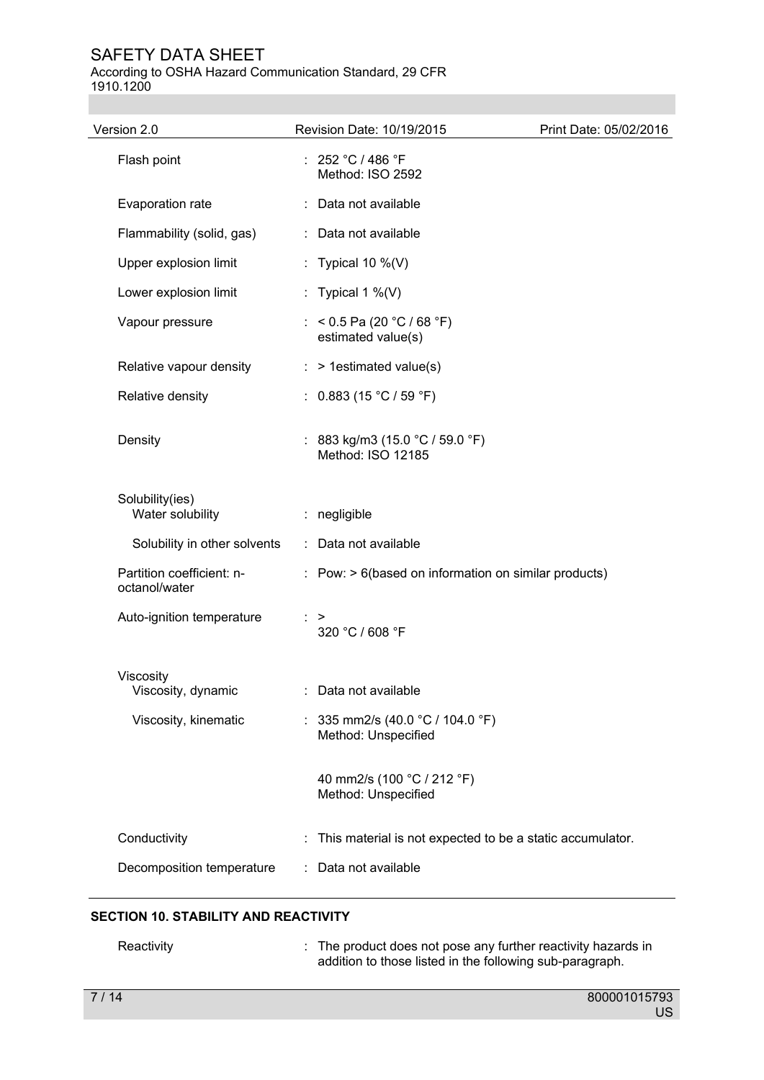According to OSHA Hazard Communication Standard, 29 CFR 1910.1200

| Version 2.0                                | Revision Date: 10/19/2015                                 | Print Date: 05/02/2016 |
|--------------------------------------------|-----------------------------------------------------------|------------------------|
| Flash point                                | : $252 °C / 486 °F$<br>Method: ISO 2592                   |                        |
| Evaporation rate                           | : Data not available                                      |                        |
| Flammability (solid, gas)                  | : Data not available                                      |                        |
| Upper explosion limit                      | : Typical 10 $\%$ (V)                                     |                        |
| Lower explosion limit                      | : Typical 1 %(V)                                          |                        |
| Vapour pressure                            | : < $0.5$ Pa (20 °C / 68 °F)<br>estimated value(s)        |                        |
| Relative vapour density                    | > 1estimated value(s)                                     |                        |
| Relative density                           | : $0.883$ (15 °C / 59 °F)                                 |                        |
| Density                                    | : 883 kg/m3 (15.0 °C / 59.0 °F)<br>Method: ISO 12185      |                        |
| Solubility(ies)<br>Water solubility        | : negligible                                              |                        |
| Solubility in other solvents               | Data not available<br>÷.                                  |                        |
| Partition coefficient: n-<br>octanol/water | $:$ Pow: $> 6$ (based on information on similar products) |                        |
| Auto-ignition temperature                  | ><br>320 °C / 608 °F                                      |                        |
| Viscosity<br>Viscosity, dynamic            | : Data not available                                      |                        |
| Viscosity, kinematic                       | : 335 mm2/s (40.0 °C / 104.0 °F)<br>Method: Unspecified   |                        |
|                                            | 40 mm2/s (100 °C / 212 °F)<br>Method: Unspecified         |                        |
| Conductivity                               | This material is not expected to be a static accumulator. |                        |
| Decomposition temperature                  | Data not available                                        |                        |
|                                            |                                                           |                        |

## **SECTION 10. STABILITY AND REACTIVITY**

| Reactivity | : The product does not pose any further reactivity hazards in<br>addition to those listed in the following sub-paragraph. |
|------------|---------------------------------------------------------------------------------------------------------------------------|
|            |                                                                                                                           |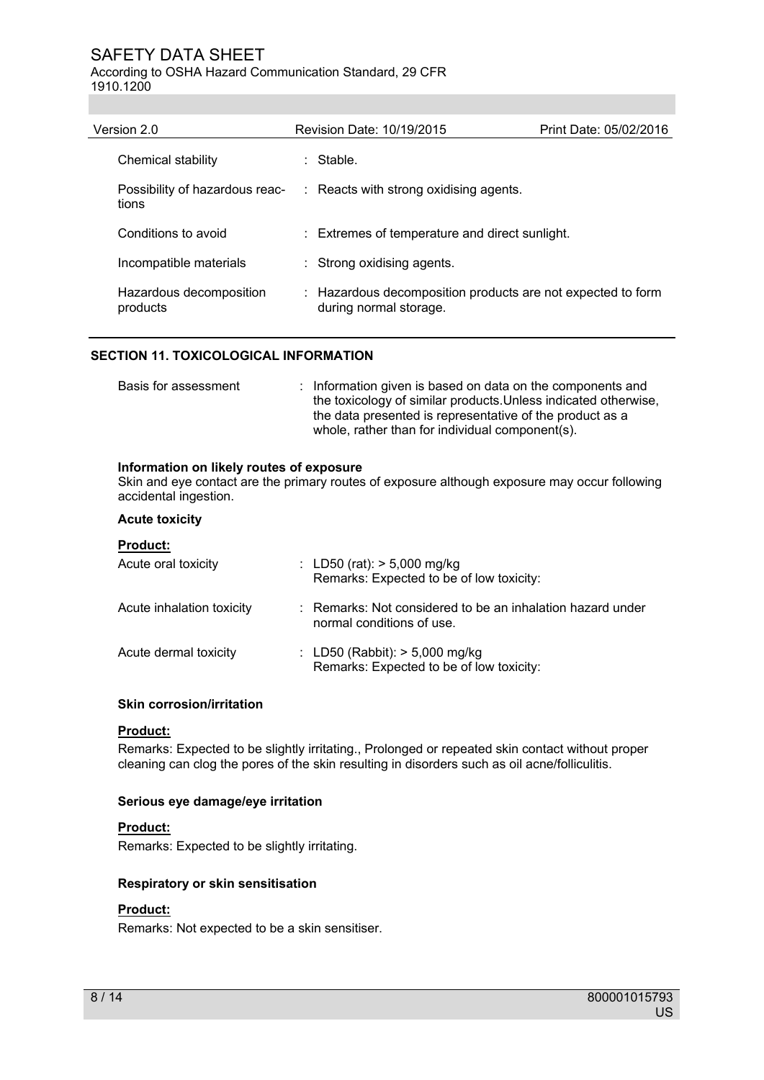According to OSHA Hazard Communication Standard, 29 CFR 1910.1200

| Version 2.0                             | Revision Date: 10/19/2015                                                             | Print Date: 05/02/2016 |
|-----------------------------------------|---------------------------------------------------------------------------------------|------------------------|
| Chemical stability                      | ∴ Stable.                                                                             |                        |
| Possibility of hazardous reac-<br>tions | : Reacts with strong oxidising agents.                                                |                        |
| Conditions to avoid                     | : Extremes of temperature and direct sunlight.                                        |                        |
| Incompatible materials                  | : Strong oxidising agents.                                                            |                        |
| Hazardous decomposition<br>products     | : Hazardous decomposition products are not expected to form<br>during normal storage. |                        |

#### **SECTION 11. TOXICOLOGICAL INFORMATION**

| Basis for assessment | : Information given is based on data on the components and      |
|----------------------|-----------------------------------------------------------------|
|                      | the toxicology of similar products. Unless indicated otherwise, |
|                      | the data presented is representative of the product as a        |
|                      | whole, rather than for individual component(s).                 |

#### **Information on likely routes of exposure**

Skin and eye contact are the primary routes of exposure although exposure may occur following accidental ingestion.

#### **Acute toxicity**

#### **Product:**

| Acute oral toxicity       | : LD50 (rat): $> 5,000$ mg/kg<br>Remarks: Expected to be of low toxicity:               |
|---------------------------|-----------------------------------------------------------------------------------------|
| Acute inhalation toxicity | : Remarks: Not considered to be an inhalation hazard under<br>normal conditions of use. |
| Acute dermal toxicity     | : LD50 (Rabbit): $> 5,000$ mg/kg<br>Remarks: Expected to be of low toxicity:            |

#### **Skin corrosion/irritation**

#### **Product:**

Remarks: Expected to be slightly irritating., Prolonged or repeated skin contact without proper cleaning can clog the pores of the skin resulting in disorders such as oil acne/folliculitis.

#### **Serious eye damage/eye irritation**

#### **Product:**

Remarks: Expected to be slightly irritating.

#### **Respiratory or skin sensitisation**

#### **Product:**

Remarks: Not expected to be a skin sensitiser.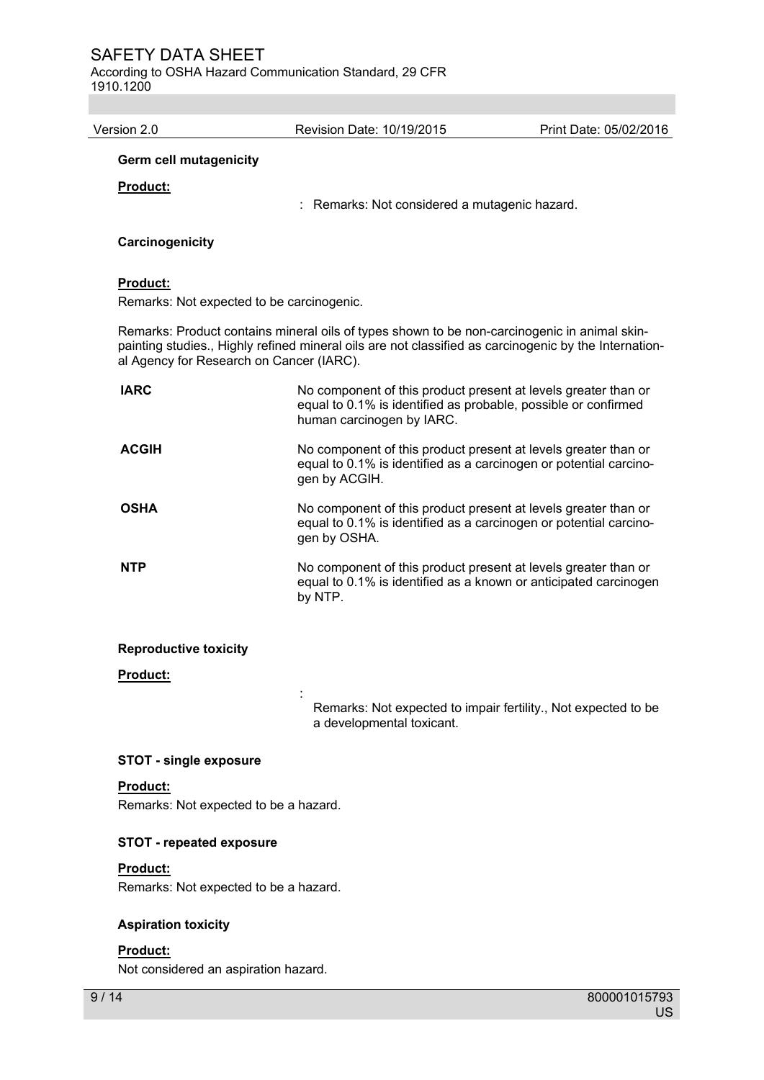According to OSHA Hazard Communication Standard, 29 CFR 1910.1200

Version 2.0 Revision Date: 10/19/2015 Print Date: 05/02/2016 **Germ cell mutagenicity Product:**  : Remarks: Not considered a mutagenic hazard. **Carcinogenicity Product:**  Remarks: Not expected to be carcinogenic. Remarks: Product contains mineral oils of types shown to be non-carcinogenic in animal skinpainting studies., Highly refined mineral oils are not classified as carcinogenic by the International Agency for Research on Cancer (IARC). **IARC** No component of this product present at levels greater than or equal to 0.1% is identified as probable, possible or confirmed human carcinogen by IARC. **ACGIH** No component of this product present at levels greater than or equal to 0.1% is identified as a carcinogen or potential carcinogen by ACGIH. **OSHA** No component of this product present at levels greater than or equal to 0.1% is identified as a carcinogen or potential carcinogen by OSHA. **NTP** No component of this product present at levels greater than or equal to 0.1% is identified as a known or anticipated carcinogen by NTP. **Reproductive toxicity** 

#### **Product:**

Remarks: Not expected to impair fertility., Not expected to be a developmental toxicant.

#### **STOT - single exposure**

the control of the control of the control of

#### **Product:**

Remarks: Not expected to be a hazard.

#### **STOT - repeated exposure**

#### **Product:**

Remarks: Not expected to be a hazard.

#### **Aspiration toxicity**

#### **Product:**

Not considered an aspiration hazard.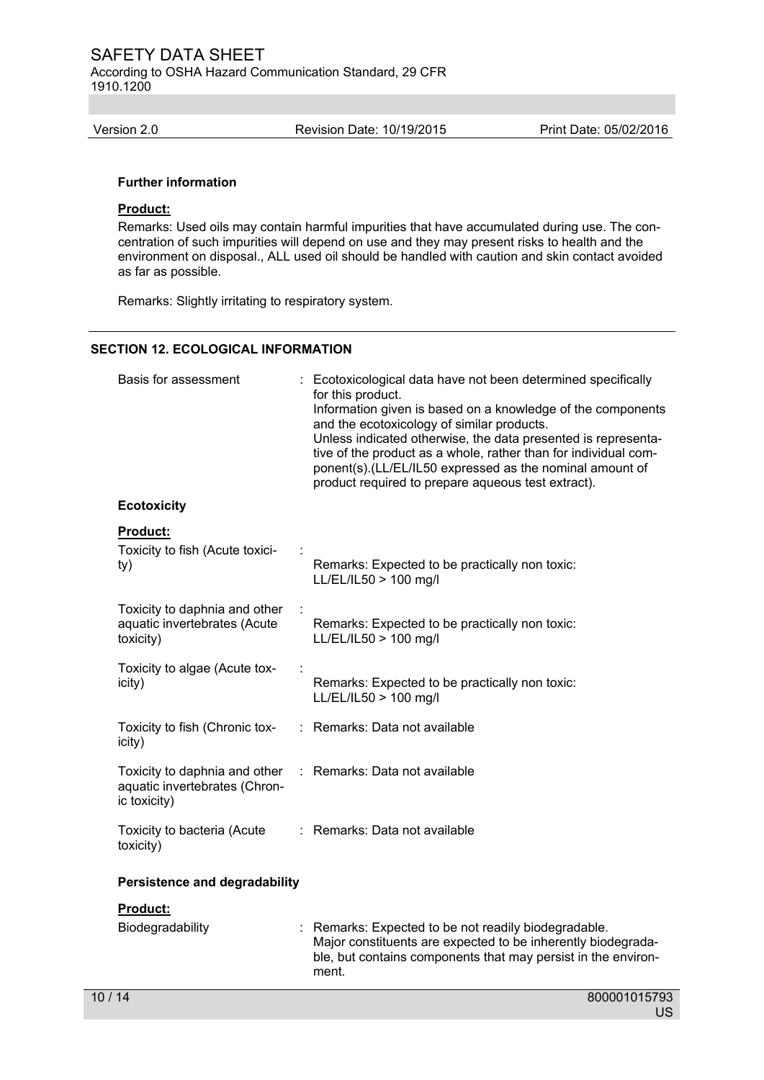According to OSHA Hazard Communication Standard, 29 CFR 1910.1200

Version 2.0 Revision Date: 10/19/2015 Print Date: 05/02/2016

#### **Further information**

# **Product:**

Remarks: Used oils may contain harmful impurities that have accumulated during use. The concentration of such impurities will depend on use and they may present risks to health and the environment on disposal., ALL used oil should be handled with caution and skin contact avoided as far as possible.

Remarks: Slightly irritating to respiratory system.

#### **SECTION 12. ECOLOGICAL INFORMATION**

| Basis for assessment                                                           | Ecotoxicological data have not been determined specifically<br>for this product.<br>Information given is based on a knowledge of the components<br>and the ecotoxicology of similar products.<br>Unless indicated otherwise, the data presented is representa-<br>tive of the product as a whole, rather than for individual com-<br>ponent(s).(LL/EL/IL50 expressed as the nominal amount of<br>product required to prepare aqueous test extract). |
|--------------------------------------------------------------------------------|-----------------------------------------------------------------------------------------------------------------------------------------------------------------------------------------------------------------------------------------------------------------------------------------------------------------------------------------------------------------------------------------------------------------------------------------------------|
| <b>Ecotoxicity</b>                                                             |                                                                                                                                                                                                                                                                                                                                                                                                                                                     |
| <b>Product:</b><br>Toxicity to fish (Acute toxici-<br>ty)                      | Remarks: Expected to be practically non toxic:<br>LL/EL/IL50 > 100 mg/l                                                                                                                                                                                                                                                                                                                                                                             |
| Toxicity to daphnia and other<br>aquatic invertebrates (Acute<br>toxicity)     | Remarks: Expected to be practically non toxic:<br>LL/EL/IL50 > 100 mg/l                                                                                                                                                                                                                                                                                                                                                                             |
| Toxicity to algae (Acute tox-<br>icity)                                        | Remarks: Expected to be practically non toxic:<br>LL/EL/IL50 > 100 mg/l                                                                                                                                                                                                                                                                                                                                                                             |
| Toxicity to fish (Chronic tox-<br>icity)                                       | : Remarks: Data not available                                                                                                                                                                                                                                                                                                                                                                                                                       |
| Toxicity to daphnia and other<br>aquatic invertebrates (Chron-<br>ic toxicity) | Remarks: Data not available<br>÷.                                                                                                                                                                                                                                                                                                                                                                                                                   |
| Toxicity to bacteria (Acute<br>toxicity)                                       | : Remarks: Data not available                                                                                                                                                                                                                                                                                                                                                                                                                       |
| <b>Persistence and degradability</b>                                           |                                                                                                                                                                                                                                                                                                                                                                                                                                                     |
| Product:<br>Biodegradability                                                   | Remarks: Expected to be not readily biodegradable.<br>Major constituents are expected to be inherently biodegrada-<br>ble, but contains components that may persist in the environ-<br>ment.                                                                                                                                                                                                                                                        |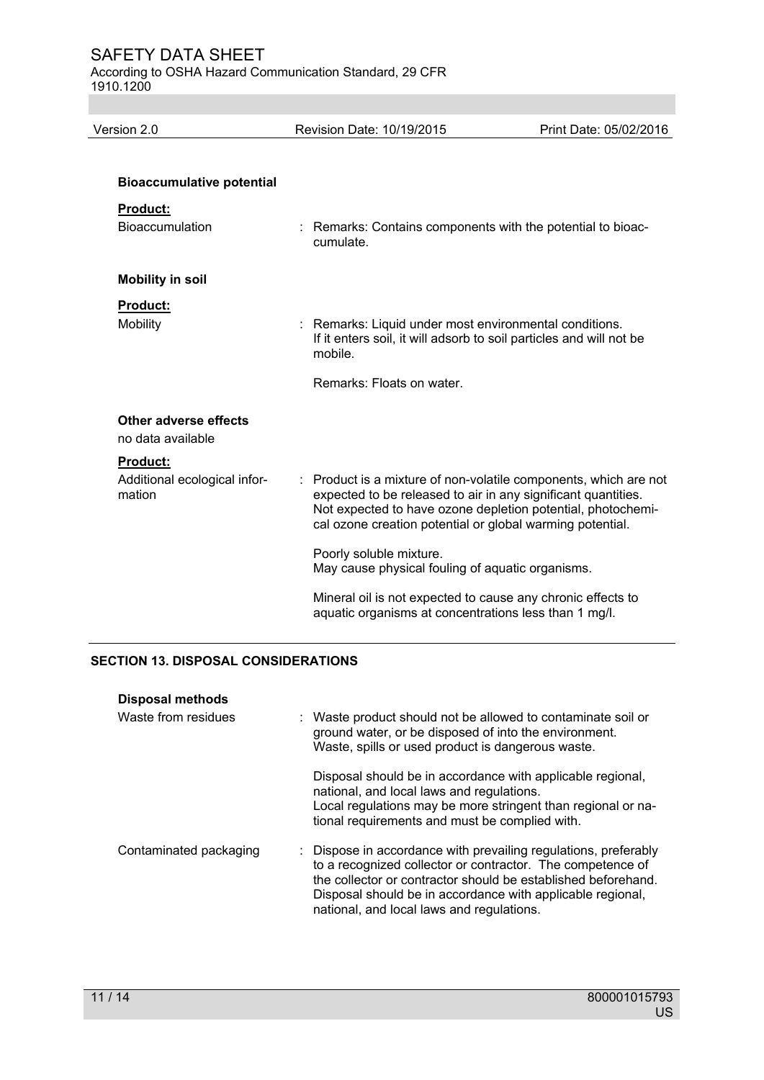According to OSHA Hazard Communication Standard, 29 CFR 1910.1200

| Version 2.0                                                                   |  | Revision Date: 10/19/2015                                                                                                                                                                                                                                   | Print Date: 05/02/2016 |
|-------------------------------------------------------------------------------|--|-------------------------------------------------------------------------------------------------------------------------------------------------------------------------------------------------------------------------------------------------------------|------------------------|
| <b>Bioaccumulative potential</b><br><b>Product:</b><br><b>Bioaccumulation</b> |  | : Remarks: Contains components with the potential to bioac-<br>cumulate.                                                                                                                                                                                    |                        |
| <b>Mobility in soil</b>                                                       |  |                                                                                                                                                                                                                                                             |                        |
| <b>Product:</b><br><b>Mobility</b>                                            |  | : Remarks: Liquid under most environmental conditions.<br>If it enters soil, it will adsorb to soil particles and will not be<br>mobile.                                                                                                                    |                        |
|                                                                               |  | Remarks: Floats on water.                                                                                                                                                                                                                                   |                        |
| Other adverse effects<br>no data available                                    |  |                                                                                                                                                                                                                                                             |                        |
| <b>Product:</b><br>Additional ecological infor-<br>mation                     |  | Product is a mixture of non-volatile components, which are not<br>expected to be released to air in any significant quantities.<br>Not expected to have ozone depletion potential, photochemi-<br>cal ozone creation potential or global warming potential. |                        |
|                                                                               |  | Poorly soluble mixture.<br>May cause physical fouling of aquatic organisms.                                                                                                                                                                                 |                        |
|                                                                               |  | Mineral oil is not expected to cause any chronic effects to<br>aquatic organisms at concentrations less than 1 mg/l.                                                                                                                                        |                        |
|                                                                               |  |                                                                                                                                                                                                                                                             |                        |

# **SECTION 13. DISPOSAL CONSIDERATIONS**

| <b>Disposal methods</b> |                                                                                                                                                                                                                                                                                                           |
|-------------------------|-----------------------------------------------------------------------------------------------------------------------------------------------------------------------------------------------------------------------------------------------------------------------------------------------------------|
| Waste from residues     | : Waste product should not be allowed to contaminate soil or<br>ground water, or be disposed of into the environment.<br>Waste, spills or used product is dangerous waste.                                                                                                                                |
|                         | Disposal should be in accordance with applicable regional,<br>national, and local laws and regulations.<br>Local regulations may be more stringent than regional or na-<br>tional requirements and must be complied with.                                                                                 |
| Contaminated packaging  | : Dispose in accordance with prevailing regulations, preferably<br>to a recognized collector or contractor. The competence of<br>the collector or contractor should be established beforehand.<br>Disposal should be in accordance with applicable regional,<br>national, and local laws and regulations. |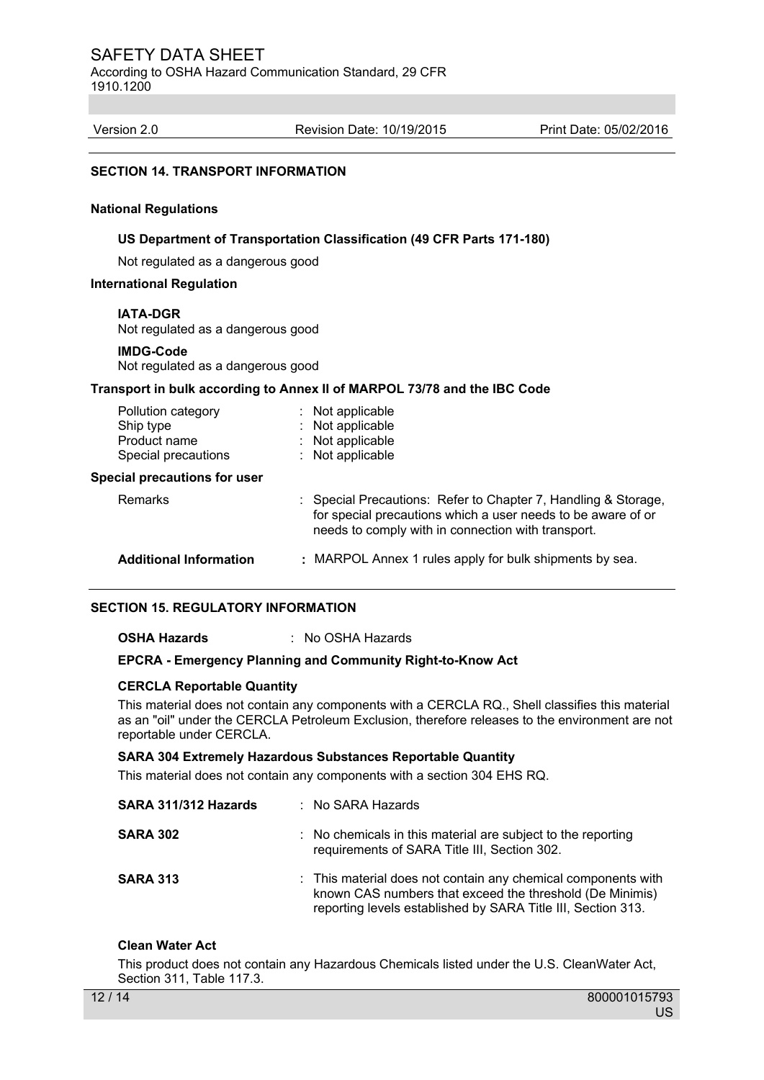According to OSHA Hazard Communication Standard, 29 CFR 1910.1200

Version 2.0 Revision Date: 10/19/2015 Print Date: 05/02/2016

#### **SECTION 14. TRANSPORT INFORMATION**

#### **National Regulations**

#### **US Department of Transportation Classification (49 CFR Parts 171-180)**

Not regulated as a dangerous good

#### **International Regulation**

#### **IATA-DGR**

Not regulated as a dangerous good

#### **IMDG-Code**

Not regulated as a dangerous good

#### **Transport in bulk according to Annex II of MARPOL 73/78 and the IBC Code**

| Pollution category<br>Ship type<br>Product name<br>Special precautions<br><b>Special precautions for user</b> | Not applicable<br>Not applicable<br>Not applicable<br>Not applicable                                                                                                                 |
|---------------------------------------------------------------------------------------------------------------|--------------------------------------------------------------------------------------------------------------------------------------------------------------------------------------|
| <b>Remarks</b>                                                                                                | : Special Precautions: Refer to Chapter 7, Handling & Storage,<br>for special precautions which a user needs to be aware of or<br>needs to comply with in connection with transport. |
| <b>Additional Information</b>                                                                                 | : MARPOL Annex 1 rules apply for bulk shipments by sea.                                                                                                                              |

#### **SECTION 15. REGULATORY INFORMATION**

#### **OSHA Hazards** : No OSHA Hazards

#### **EPCRA - Emergency Planning and Community Right-to-Know Act**

#### **CERCLA Reportable Quantity**

This material does not contain any components with a CERCLA RQ., Shell classifies this material as an "oil" under the CERCLA Petroleum Exclusion, therefore releases to the environment are not reportable under CERCLA.

#### **SARA 304 Extremely Hazardous Substances Reportable Quantity**

This material does not contain any components with a section 304 EHS RQ.

| SARA 311/312 Hazards | $:$ No SARA Hazards                                                                                                                                                                       |
|----------------------|-------------------------------------------------------------------------------------------------------------------------------------------------------------------------------------------|
| <b>SARA 302</b>      | : No chemicals in this material are subject to the reporting<br>requirements of SARA Title III, Section 302.                                                                              |
| <b>SARA 313</b>      | : This material does not contain any chemical components with<br>known CAS numbers that exceed the threshold (De Minimis)<br>reporting levels established by SARA Title III, Section 313. |

#### **Clean Water Act**

This product does not contain any Hazardous Chemicals listed under the U.S. CleanWater Act, Section 311, Table 117.3.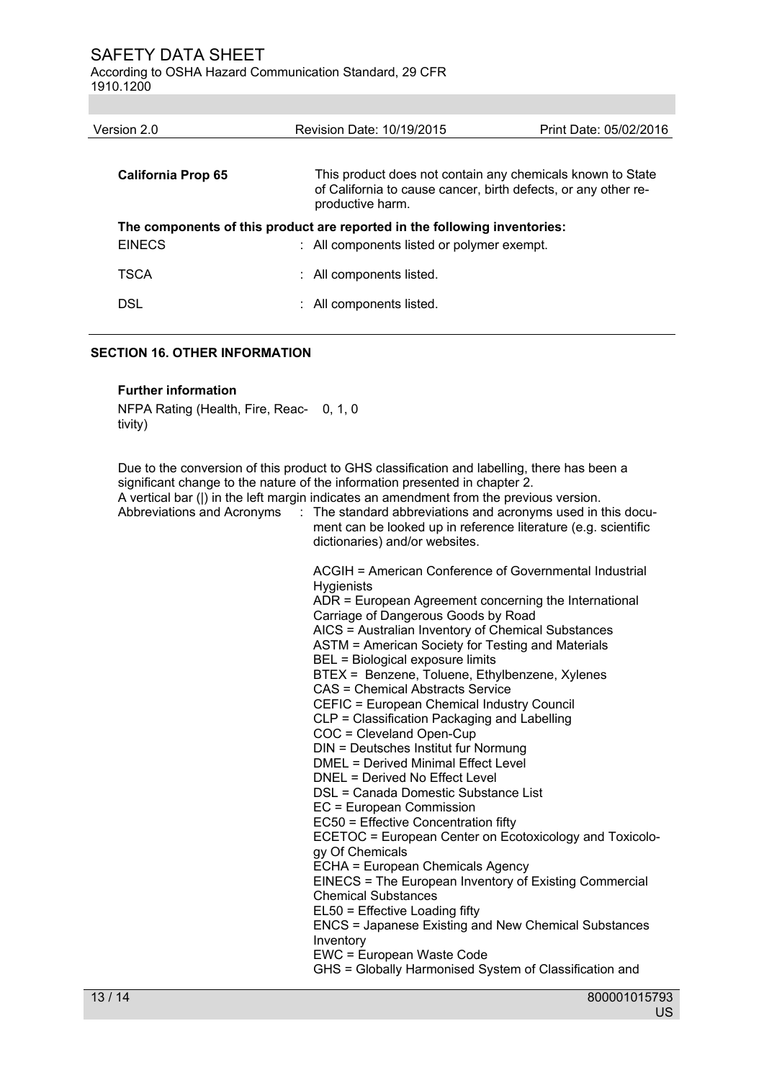According to OSHA Hazard Communication Standard, 29 CFR 1910.1200

| Version 2.0                                                               | Revision Date: 10/19/2015                                                                                                                        | Print Date: 05/02/2016 |  |
|---------------------------------------------------------------------------|--------------------------------------------------------------------------------------------------------------------------------------------------|------------------------|--|
|                                                                           |                                                                                                                                                  |                        |  |
| California Prop 65                                                        | This product does not contain any chemicals known to State<br>of California to cause cancer, birth defects, or any other re-<br>productive harm. |                        |  |
| The components of this product are reported in the following inventories: |                                                                                                                                                  |                        |  |
| <b>EINECS</b>                                                             | : All components listed or polymer exempt.                                                                                                       |                        |  |
| TSCA                                                                      | : All components listed.                                                                                                                         |                        |  |
| DSL                                                                       | All components listed.                                                                                                                           |                        |  |

#### **SECTION 16. OTHER INFORMATION**

#### **Further information**

NFPA Rating (Health, Fire, Reac-0, 1, 0 tivity)

Due to the conversion of this product to GHS classification and labelling, there has been a significant change to the nature of the information presented in chapter 2. A vertical bar (|) in the left margin indicates an amendment from the previous version.

Abbreviations and Acronyms : The standard abbreviations and acronyms used in this document can be looked up in reference literature (e.g. scientific dictionaries) and/or websites.

> ACGIH = American Conference of Governmental Industrial **Hygienists** ADR = European Agreement concerning the International

Carriage of Dangerous Goods by Road AICS = Australian Inventory of Chemical Substances

ASTM = American Society for Testing and Materials

BEL = Biological exposure limits

BTEX = Benzene, Toluene, Ethylbenzene, Xylenes

CAS = Chemical Abstracts Service

CEFIC = European Chemical Industry Council

CLP = Classification Packaging and Labelling

COC = Cleveland Open-Cup

DIN = Deutsches Institut fur Normung

DMEL = Derived Minimal Effect Level

DNEL = Derived No Effect Level

DSL = Canada Domestic Substance List EC = European Commission

EC50 = Effective Concentration fifty

ECETOC = European Center on Ecotoxicology and Toxicology Of Chemicals

ECHA = European Chemicals Agency

EINECS = The European Inventory of Existing Commercial Chemical Substances

EL50 = Effective Loading fifty

ENCS = Japanese Existing and New Chemical Substances Inventory

EWC = European Waste Code

GHS = Globally Harmonised System of Classification and